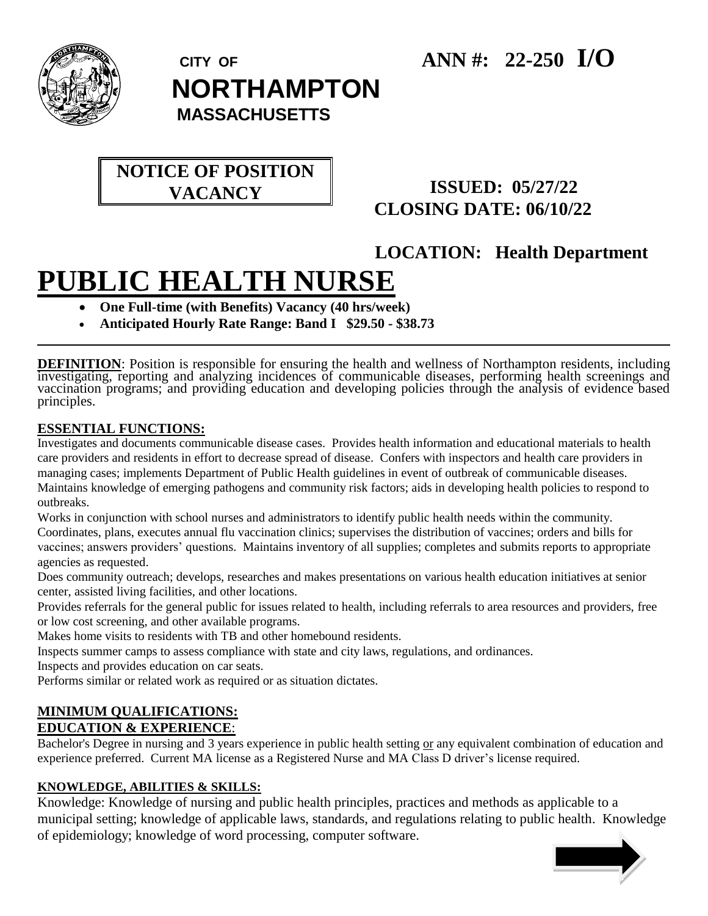

 **CITY OF ANN #: 22-250 I/O** 

 **NORTHAMPTON**

 **MASSACHUSETTS**

## **NOTICE OF POSITION VACANCY**

### **ISSUED: 05/27/22 CLOSING DATE: 06/10/22**

# **LOCATION: Health Department**

# **PUBLIC HEALTH NURSE**

- **One Full-time (with Benefits) Vacancy (40 hrs/week)**
- **Anticipated Hourly Rate Range: Band I \$29.50 - \$38.73**

**DEFINITION**: Position is responsible for ensuring the health and wellness of Northampton residents, including investigating, reporting and analyzing incidences of communicable diseases, performing health screenings and vaccination programs; and providing education and developing policies through the analysis of evidence based principles.

#### **ESSENTIAL FUNCTIONS:**

Investigates and documents communicable disease cases. Provides health information and educational materials to health care providers and residents in effort to decrease spread of disease. Confers with inspectors and health care providers in managing cases; implements Department of Public Health guidelines in event of outbreak of communicable diseases. Maintains knowledge of emerging pathogens and community risk factors; aids in developing health policies to respond to outbreaks.

Works in conjunction with school nurses and administrators to identify public health needs within the community. Coordinates, plans, executes annual flu vaccination clinics; supervises the distribution of vaccines; orders and bills for vaccines; answers providers' questions. Maintains inventory of all supplies; completes and submits reports to appropriate agencies as requested.

Does community outreach; develops, researches and makes presentations on various health education initiatives at senior center, assisted living facilities, and other locations.

Provides referrals for the general public for issues related to health, including referrals to area resources and providers, free or low cost screening, and other available programs.

Makes home visits to residents with TB and other homebound residents.

Inspects summer camps to assess compliance with state and city laws, regulations, and ordinances.

Inspects and provides education on car seats.

Performs similar or related work as required or as situation dictates.

#### **MINIMUM QUALIFICATIONS: EDUCATION & EXPERIENCE**:

Bachelor's Degree in nursing and 3 years experience in public health setting or any equivalent combination of education and experience preferred. Current MA license as a Registered Nurse and MA Class D driver's license required.

#### **KNOWLEDGE, ABILITIES & SKILLS:**

Knowledge: Knowledge of nursing and public health principles, practices and methods as applicable to a municipal setting; knowledge of applicable laws, standards, and regulations relating to public health. Knowledge of epidemiology; knowledge of word processing, computer software.